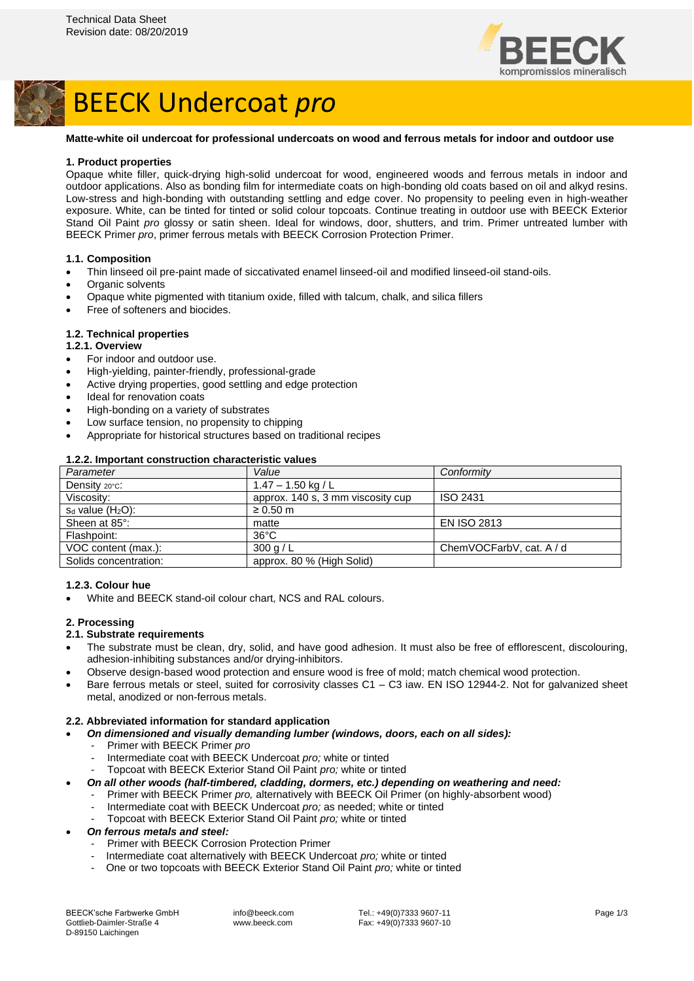

# BEECK Undercoat *pro*

#### **Matte-white oil undercoat for professional undercoats on wood and ferrous metals for indoor and outdoor use**

#### **1. Product properties**

Opaque white filler, quick-drying high-solid undercoat for wood, engineered woods and ferrous metals in indoor and outdoor applications. Also as bonding film for intermediate coats on high-bonding old coats based on oil and alkyd resins. Low-stress and high-bonding with outstanding settling and edge cover. No propensity to peeling even in high-weather exposure. White, can be tinted for tinted or solid colour topcoats. Continue treating in outdoor use with BEECK Exterior Stand Oil Paint *pro* glossy or satin sheen. Ideal for windows, door, shutters, and trim. Primer untreated lumber with BEECK Primer *pro*, primer ferrous metals with BEECK Corrosion Protection Primer.

#### **1.1. Composition**

- Thin linseed oil pre-paint made of siccativated enamel linseed-oil and modified linseed-oil stand-oils.
- **Organic solvents**
- Opaque white pigmented with titanium oxide, filled with talcum, chalk, and silica fillers
- Free of softeners and biocides.

# **1.2. Technical properties**

#### **1.2.1. Overview**

- For indoor and outdoor use.
- High-yielding, painter-friendly, professional-grade
- Active drying properties, good settling and edge protection
- Ideal for renovation coats
- High-bonding on a variety of substrates
- Low surface tension, no propensity to chipping
- Appropriate for historical structures based on traditional recipes

#### **1.2.2. Important construction characteristic values**

| Parameter              | Value                             | Conformity               |
|------------------------|-----------------------------------|--------------------------|
| Density 20°C:          | $1.47 - 1.50$ kg / L              |                          |
| Viscosity:             | approx. 140 s, 3 mm viscosity cup | ISO 2431                 |
| $s_d$ value $(H_2O)$ : | $\geq 0.50$ m                     |                          |
| Sheen at 85°:          | matte                             | <b>EN ISO 2813</b>       |
| Flashpoint:            | $36^{\circ}$ C                    |                          |
| VOC content (max.):    | 300 g/L                           | ChemVOCFarbV, cat. A / d |
| Solids concentration:  | approx. 80 % (High Solid)         |                          |

#### **1.2.3. Colour hue**

• White and BEECK stand-oil colour chart, NCS and RAL colours.

#### **2. Processing**

#### **2.1. Substrate requirements**

- The substrate must be clean, dry, solid, and have good adhesion. It must also be free of efflorescent, discolouring, adhesion-inhibiting substances and/or drying-inhibitors.
- Observe design-based wood protection and ensure wood is free of mold; match chemical wood protection.
- Bare ferrous metals or steel, suited for corrosivity classes C1 C3 iaw. EN ISO 12944-2. Not for galvanized sheet metal, anodized or non-ferrous metals.

#### **2.2. Abbreviated information for standard application**

- *On dimensioned and visually demanding lumber (windows, doors, each on all sides):*
	- Primer with BEECK Primer *pro*
	- Intermediate coat with BEECK Undercoat *pro;* white or tinted
- Topcoat with BEECK Exterior Stand Oil Paint *pro;* white or tinted
- *On all other woods (half-timbered, cladding, dormers, etc.) depending on weathering and need:*
	- Primer with BEECK Primer *pro,* alternatively with BEECK Oil Primer (on highly-absorbent wood)
		- Intermediate coat with BEECK Undercoat *pro;* as needed; white or tinted
	- Topcoat with BEECK Exterior Stand Oil Paint *pro;* white or tinted
- *On ferrous metals and steel:*
	- Primer with BEECK Corrosion Protection Primer
	- Intermediate coat alternatively with BEECK Undercoat *pro;* white or tinted
	- One or two topcoats with BEECK Exterior Stand Oil Paint *pro;* white or tinted

BEECK'sche Farbwerke GmbH Gottlieb-Daimler-Straße 4 D-89150 Laichingen

info@beeck.com www.beeck.com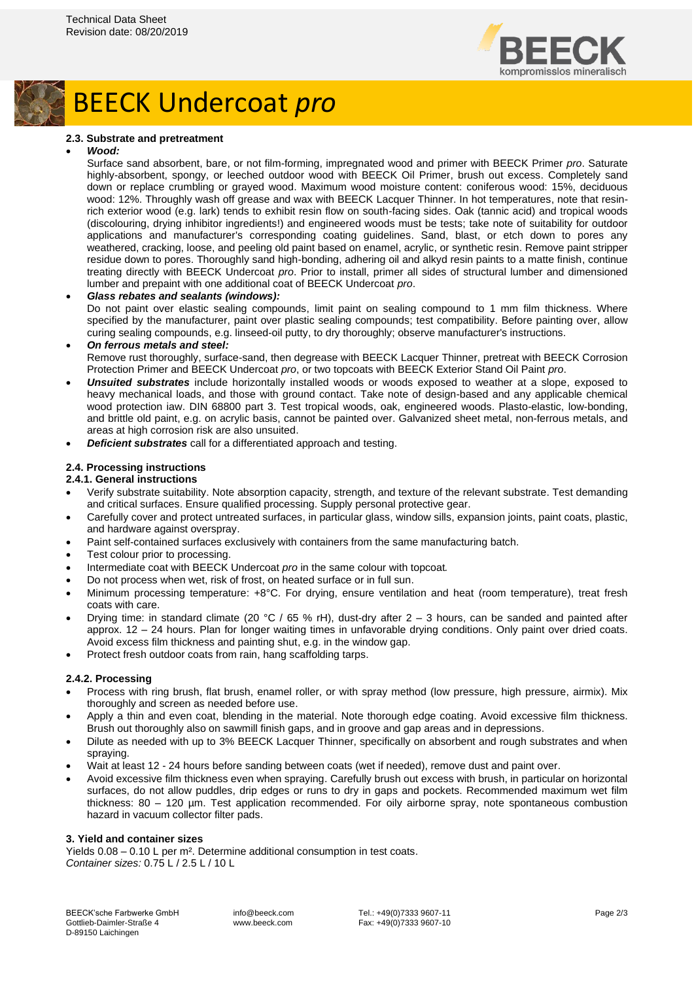



# BEECK Undercoat *pro*

### **2.3. Substrate and pretreatment**

#### • *Wood:*

Surface sand absorbent, bare, or not film-forming, impregnated wood and primer with BEECK Primer *pro*. Saturate highly-absorbent, spongy, or leeched outdoor wood with BEECK Oil Primer, brush out excess. Completely sand down or replace crumbling or grayed wood. Maximum wood moisture content: coniferous wood: 15%, deciduous wood: 12%. Throughly wash off grease and wax with BEECK Lacquer Thinner. In hot temperatures, note that resinrich exterior wood (e.g. lark) tends to exhibit resin flow on south-facing sides. Oak (tannic acid) and tropical woods (discolouring, drying inhibitor ingredients!) and engineered woods must be tests; take note of suitability for outdoor applications and manufacturer's corresponding coating guidelines. Sand, blast, or etch down to pores any weathered, cracking, loose, and peeling old paint based on enamel, acrylic, or synthetic resin. Remove paint stripper residue down to pores. Thoroughly sand high-bonding, adhering oil and alkyd resin paints to a matte finish, continue treating directly with BEECK Undercoat *pro*. Prior to install, primer all sides of structural lumber and dimensioned lumber and prepaint with one additional coat of BEECK Undercoat *pro*.

#### • *Glass rebates and sealants (windows):*

Do not paint over elastic sealing compounds, limit paint on sealing compound to 1 mm film thickness. Where specified by the manufacturer, paint over plastic sealing compounds; test compatibility. Before painting over, allow curing sealing compounds, e.g. linseed-oil putty, to dry thoroughly; observe manufacturer's instructions.

# • *On ferrous metals and steel:* Remove rust thoroughly, surface-sand, then degrease with BEECK Lacquer Thinner, pretreat with BEECK Corrosion Protection Primer and BEECK Undercoat *pro*, or two topcoats with BEECK Exterior Stand Oil Paint *pro*.

- *Unsuited substrates* include horizontally installed woods or woods exposed to weather at a slope, exposed to heavy mechanical loads, and those with ground contact. Take note of design-based and any applicable chemical wood protection iaw. DIN 68800 part 3. Test tropical woods, oak, engineered woods. Plasto-elastic, low-bonding, and brittle old paint, e.g. on acrylic basis, cannot be painted over. Galvanized sheet metal, non-ferrous metals, and areas at high corrosion risk are also unsuited.
- *Deficient substrates* call for a differentiated approach and testing.

# **2.4. Processing instructions**

# **2.4.1. General instructions**

- Verify substrate suitability. Note absorption capacity, strength, and texture of the relevant substrate. Test demanding and critical surfaces. Ensure qualified processing. Supply personal protective gear.
- Carefully cover and protect untreated surfaces, in particular glass, window sills, expansion joints, paint coats, plastic, and hardware against overspray.
- Paint self-contained surfaces exclusively with containers from the same manufacturing batch.
- Test colour prior to processing.
- Intermediate coat with BEECK Undercoat *pro* in the same colour with topcoat*.*
- Do not process when wet, risk of frost, on heated surface or in full sun.
- Minimum processing temperature: +8°C. For drying, ensure ventilation and heat (room temperature), treat fresh coats with care.
- Drying time: in standard climate (20 °C / 65 % rH), dust-dry after  $2 3$  hours, can be sanded and painted after approx. 12 – 24 hours. Plan for longer waiting times in unfavorable drying conditions. Only paint over dried coats. Avoid excess film thickness and painting shut, e.g. in the window gap.
- Protect fresh outdoor coats from rain, hang scaffolding tarps.

#### **2.4.2. Processing**

- Process with ring brush, flat brush, enamel roller, or with spray method (low pressure, high pressure, airmix). Mix thoroughly and screen as needed before use.
- Apply a thin and even coat, blending in the material. Note thorough edge coating. Avoid excessive film thickness. Brush out thoroughly also on sawmill finish gaps, and in groove and gap areas and in depressions.
- Dilute as needed with up to 3% BEECK Lacquer Thinner, specifically on absorbent and rough substrates and when spraying.
- Wait at least 12 24 hours before sanding between coats (wet if needed), remove dust and paint over.
- Avoid excessive film thickness even when spraying. Carefully brush out excess with brush, in particular on horizontal surfaces, do not allow puddles, drip edges or runs to dry in gaps and pockets. Recommended maximum wet film thickness: 80 – 120 µm. Test application recommended. For oily airborne spray, note spontaneous combustion hazard in vacuum collector filter pads.

#### **3. Yield and container sizes**

Yields 0.08 – 0.10 L per m². Determine additional consumption in test coats. *Container sizes:* 0.75 L / 2.5 L / 10 L